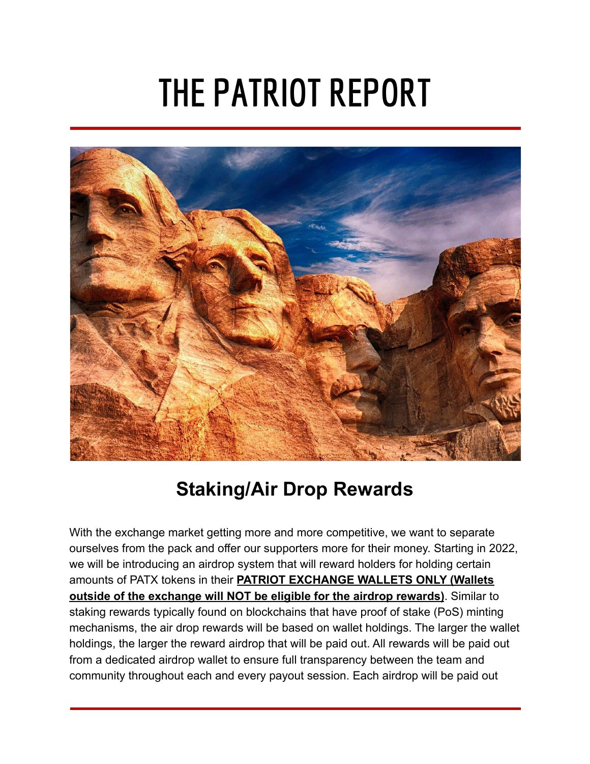# **THE PATRIOT REPORT**



# **Staking/Air Drop Rewards**

With the exchange market getting more and more competitive, we want to separate ourselves from the pack and offer our supporters more for their money. Starting in 2022, we will be introducing an airdrop system that will reward holders for holding certain amounts of PATX tokens in their **PATRIOT EXCHANGE WALLETS ONLY (Wallets outside of the exchange will NOT be eligible for the airdrop rewards)**. Similar to staking rewards typically found on blockchains that have proof of stake (PoS) minting mechanisms, the air drop rewards will be based on wallet holdings. The larger the wallet holdings, the larger the reward airdrop that will be paid out. All rewards will be paid out from a dedicated airdrop wallet to ensure full transparency between the team and community throughout each and every payout session. Each airdrop will be paid out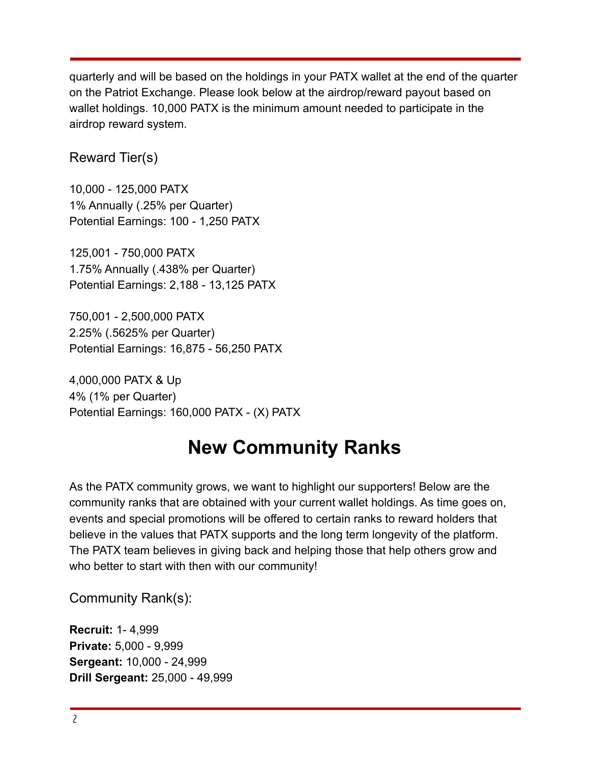quarterly and will be based on the holdings in your PATX wallet at the end of the quarter on the Patriot Exchange. Please look below at the airdrop/reward payout based on wallet holdings. 10,000 PATX is the minimum amount needed to participate in the airdrop reward system.

### Reward Tier(s)

10,000 - 125,000 PATX 1% Annually (.25% per Quarter) Potential Earnings: 100 - 1,250 PATX

125,001 - 750,000 PATX 1.75% Annually (.438% per Quarter) Potential Earnings: 2,188 - 13,125 PATX

750,001 - 2,500,000 PATX 2.25% (.5625% per Quarter) Potential Earnings: 16,875 - 56,250 PATX

4,000,000 PATX & Up 4% (1% per Quarter) Potential Earnings: 160,000 PATX - (X) PATX

# **New Community Ranks**

As the PATX community grows, we want to highlight our supporters! Below are the community ranks that are obtained with your current wallet holdings. As time goes on, events and special promotions will be offered to certain ranks to reward holders that believe in the values that PATX supports and the long term longevity of the platform. The PATX team believes in giving back and helping those that help others grow and who better to start with then with our community!

Community Rank(s):

**Recruit:** 1- 4,999 **Private:** 5,000 - 9,999 **Sergeant:** 10,000 - 24,999 **Drill Sergeant:** 25,000 - 49,999